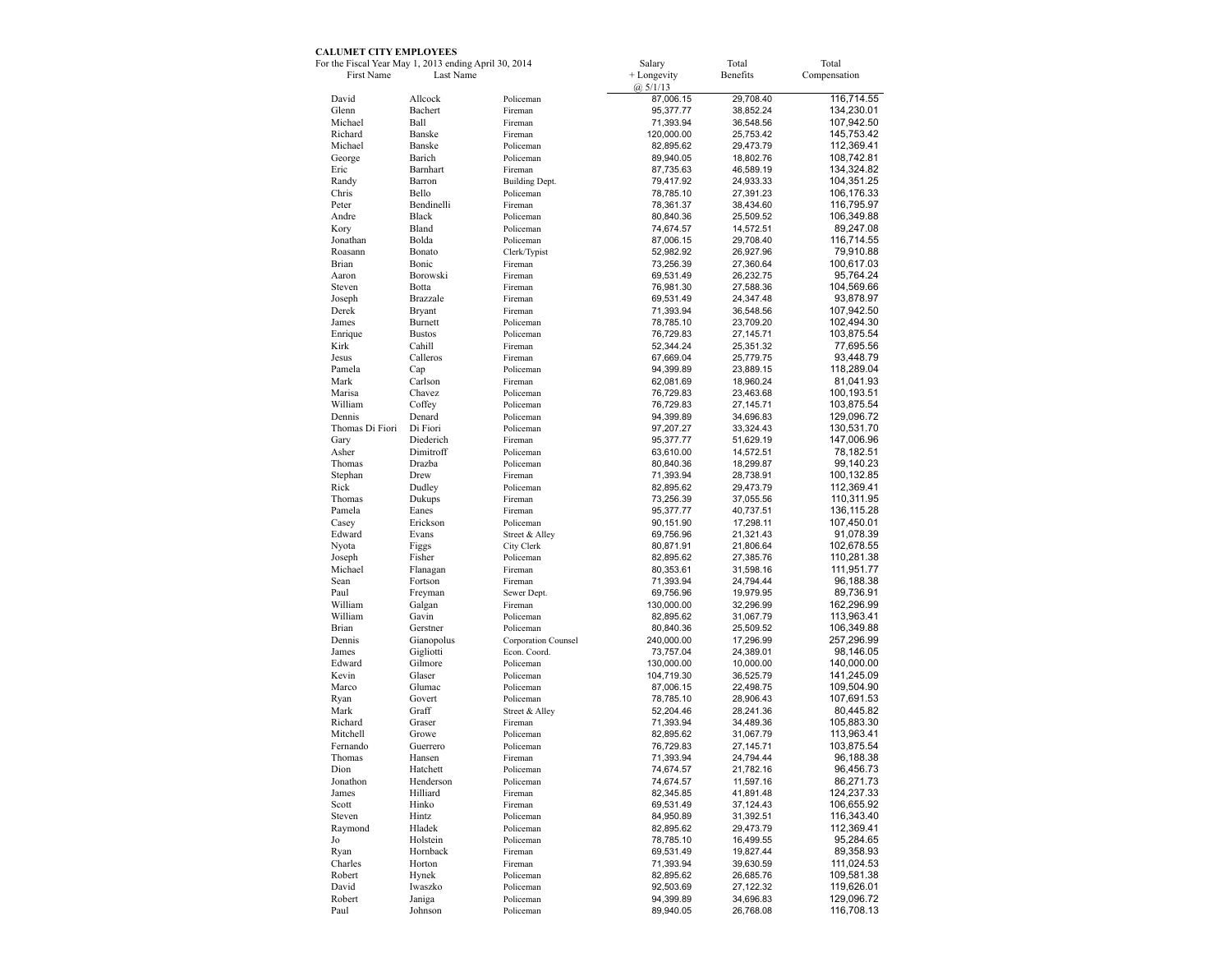## **CALUMET CITY EMPLOYEES**

| For the Fiscal Year May 1, 2013 ending April 30, 2014 |                   |                        | Salary                    | Total                  | Total                     |
|-------------------------------------------------------|-------------------|------------------------|---------------------------|------------------------|---------------------------|
| First Name                                            | Last Name         |                        | + Longevity<br>(a) 5/1/13 | Benefits               | Compensation              |
| David                                                 | Allcock           | Policeman              | 87,006.15                 | 29,708.40              | 116,714.55                |
| Glenn                                                 | Bachert           | Fireman                | 95,377.77                 | 38,852.24              | 134,230.01                |
| Michael                                               | Ball              | Fireman                | 71,393.94                 | 36,548.56              | 107,942.50                |
| Richard                                               | Banske            | Fireman                | 120,000.00                | 25,753.42              | 145,753.42                |
| Michael                                               | Banske            | Policeman              | 82,895.62                 | 29,473.79              | 112,369.41                |
| George                                                | Barich            | Policeman              | 89,940.05                 | 18,802.76              | 108,742.81                |
| Eric                                                  | Barnhart          | Fireman                | 87,735.63                 | 46,589.19              | 134,324.82                |
| Randy                                                 | Barron            | Building Dept.         | 79,417.92                 | 24,933.33              | 104,351.25                |
| Chris                                                 | Bello             | Policeman              | 78,785.10                 | 27,391.23              | 106,176.33                |
| Peter                                                 | Bendinelli        | Fireman                | 78,361.37                 | 38,434.60              | 116,795.97                |
| Andre                                                 | Black             | Policeman              | 80,840.36                 | 25,509.52              | 106,349.88                |
| Kory                                                  | Bland             | Policeman              | 74,674.57                 | 14,572.51              | 89,247.08                 |
| Jonathan                                              | Bolda<br>Bonato   | Policeman              | 87,006.15                 | 29,708.40              | 116,714.55                |
| Roasann                                               | Bonic             | Clerk/Typist           | 52,982.92                 | 26,927.96              | 79,910.88                 |
| Brian<br>Aaron                                        | Borowski          | Fireman<br>Fireman     | 73,256.39                 | 27,360.64              | 100,617.03                |
| Steven                                                | Botta             | Fireman                | 69,531.49<br>76,981.30    | 26,232.75<br>27,588.36 | 95,764.24<br>104,569.66   |
| Joseph                                                | Brazzale          | Fireman                | 69,531.49                 | 24,347.48              | 93,878.97                 |
| Derek                                                 | <b>Bryant</b>     | Fireman                | 71,393.94                 | 36,548.56              | 107,942.50                |
| James                                                 | Burnett           | Policeman              | 78,785.10                 | 23,709.20              | 102,494.30                |
| Enrique                                               | <b>Bustos</b>     | Policeman              | 76,729.83                 | 27, 145. 71            | 103,875.54                |
| Kirk                                                  | Cahill            | Fireman                | 52,344.24                 | 25,351.32              | 77,695.56                 |
| Jesus                                                 | Calleros          | Fireman                | 67,669.04                 | 25,779.75              | 93,448.79                 |
| Pamela                                                | Cap               | Policeman              | 94,399.89                 | 23,889.15              | 118,289.04                |
| Mark                                                  | Carlson           | Fireman                | 62,081.69                 | 18,960.24              | 81,041.93                 |
| Marisa                                                | Chavez            | Policeman              | 76,729.83                 | 23,463.68              | 100,193.51                |
| William                                               | Coffey            | Policeman              | 76,729.83                 | 27, 145. 71            | 103,875.54                |
| Dennis                                                | Denard            | Policeman              | 94,399.89                 | 34,696.83              | 129,096.72                |
| Thomas Di Fiori                                       | Di Fiori          | Policeman              | 97,207.27                 | 33,324.43              | 130,531.70                |
| Gary                                                  | Diederich         | Fireman                | 95,377.77                 | 51,629.19              | 147,006.96                |
| Asher                                                 | Dimitroff         | Policeman              | 63,610.00                 | 14,572.51              | 78,182.51                 |
| Thomas                                                | Drazba            | Policeman              | 80,840.36                 | 18,299.87              | 99,140.23                 |
| Stephan                                               | Drew              | Fireman                | 71,393.94                 | 28,738.91              | 100,132.85                |
| Rick                                                  | Dudley            | Policeman              | 82,895.62                 | 29,473.79              | 112,369.41                |
| Thomas                                                | Dukups            | Fireman                | 73,256.39                 | 37,055.56              | 110,311.95                |
| Pamela<br>Casey                                       | Eanes<br>Erickson | Fireman<br>Policeman   | 95,377.77                 | 40,737.51              | 136, 115.28<br>107,450.01 |
| Edward                                                | Evans             | Street & Alley         | 90,151.90<br>69,756.96    | 17,298.11<br>21,321.43 | 91,078.39                 |
| Nyota                                                 | Figgs             | City Clerk             | 80,871.91                 | 21,806.64              | 102,678.55                |
| Joseph                                                | Fisher            | Policeman              | 82,895.62                 | 27,385.76              | 110,281.38                |
| Michael                                               | Flanagan          | Fireman                | 80,353.61                 | 31,598.16              | 111,951.77                |
| Sean                                                  | Fortson           | Fireman                | 71,393.94                 | 24,794.44              | 96,188.38                 |
| Paul                                                  | Freyman           | Sewer Dept.            | 69,756.96                 | 19,979.95              | 89,736.91                 |
| William                                               | Galgan            | Fireman                | 130,000.00                | 32,296.99              | 162,296.99                |
| William                                               | Gavin             | Policeman              | 82,895.62                 | 31,067.79              | 113,963.41                |
| Brian                                                 | Gerstner          | Policeman              | 80,840.36                 | 25,509.52              | 106,349.88                |
| Dennis                                                | Gianopolus        | Corporation Counsel    | 240,000.00                | 17,296.99              | 257,296.99                |
| James                                                 | Gigliotti         | Econ. Coord.           | 73,757.04                 | 24,389.01              | 98,146.05                 |
| Edward                                                | Gilmore           | Policeman              | 130,000.00                | 10,000.00              | 140,000.00                |
| Kevin                                                 | Glaser            | Policeman              | 104,719.30                | 36,525.79              | 141,245.09                |
| Marco                                                 | Glumac            | Policeman              | 87,006.15                 | 22,498.75              | 109,504.90                |
| Ryan                                                  | Govert            | Policeman              | 78,785.10                 | 28,906.43              | 107,691.53                |
| Mark                                                  | Graff             | Street & Alley         | 52,204.46                 | 28,241.36              | 80,445.82                 |
| Richard<br>Mitchell                                   | Graser            | Fireman                | 71,393.94                 | 34,489.36              | 105,883.30                |
| Fernando                                              | Growe<br>Guerrero | Policeman<br>Policeman | 82,895.62                 | 31,067.79              | 113,963.41<br>103,875.54  |
| Thomas                                                | Hansen            |                        | 76,729.83<br>71,393.94    | 27,145.71<br>24,794.44 | 96,188.38                 |
| Dion                                                  | Hatchett          | Fireman<br>Policeman   | 74,674.57                 | 21,782.16              | 96,456.73                 |
| Jonathon                                              | Henderson         | Policeman              | 74,674.57                 | 11,597.16              | 86,271.73                 |
| James                                                 | Hilliard          | Fireman                | 82,345.85                 | 41,891.48              | 124,237.33                |
| Scott                                                 | Hinko             | Fireman                | 69,531.49                 | 37,124.43              | 106,655.92                |
| Steven                                                | Hintz             | Policeman              | 84,950.89                 | 31,392.51              | 116,343.40                |
| Raymond                                               | Hladek            | Policeman              | 82,895.62                 | 29,473.79              | 112,369.41                |
| Jo                                                    | Holstein          | Policeman              | 78,785.10                 | 16,499.55              | 95,284.65                 |
| Ryan                                                  | Hornback          | Fireman                | 69,531.49                 | 19,827.44              | 89,358.93                 |
| Charles                                               | Horton            | Fireman                | 71,393.94                 | 39,630.59              | 111,024.53                |
| Robert                                                | Hynek             | Policeman              | 82,895.62                 | 26,685.76              | 109,581.38                |
| David                                                 | Iwaszko           | Policeman              | 92,503.69                 | 27,122.32              | 119,626.01                |
| Robert                                                | Janiga            | Policeman              | 94,399.89                 | 34,696.83              | 129,096.72                |
| Paul                                                  | Johnson           | Policeman              | 89,940.05                 | 26,768.08              | 116,708.13                |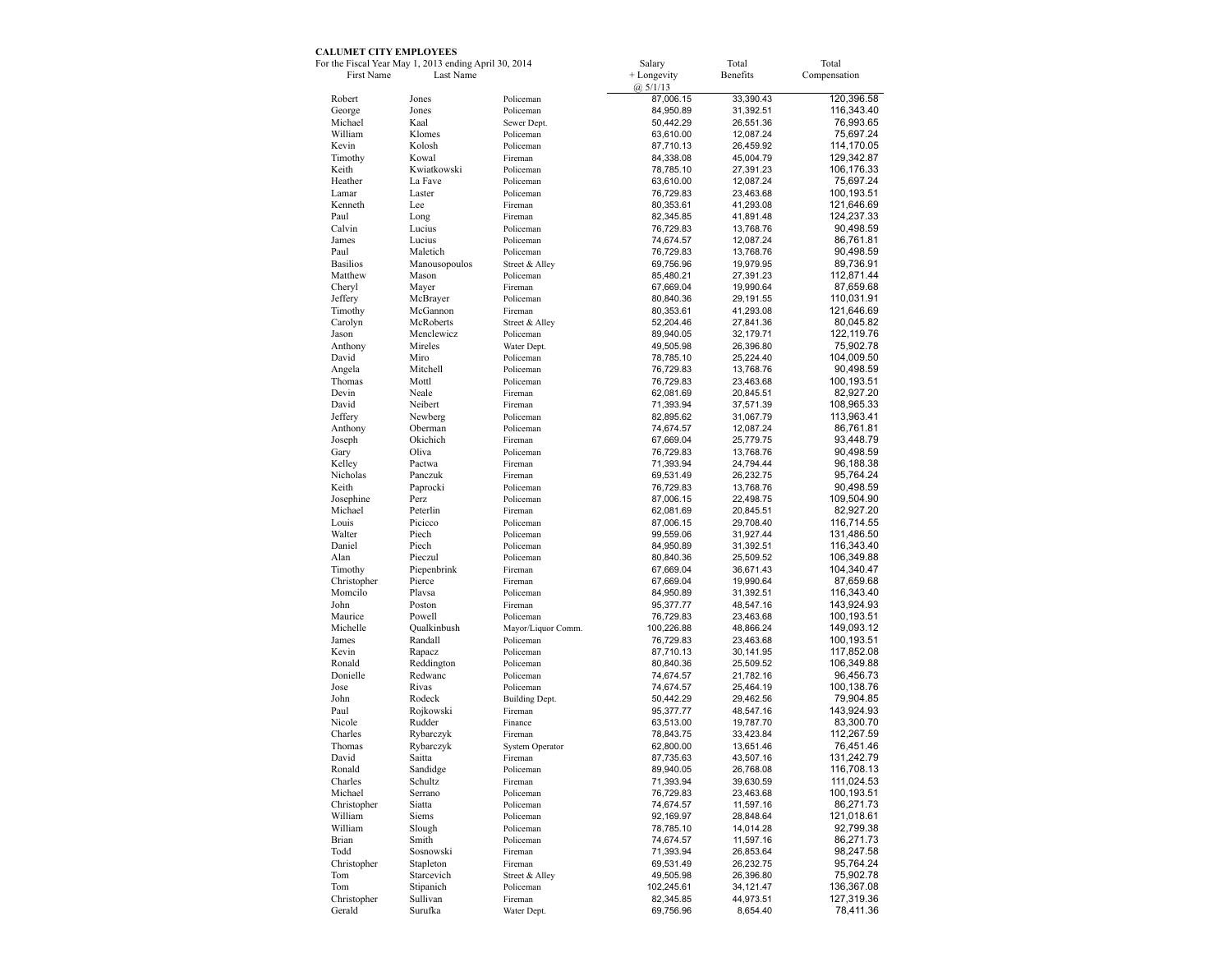## **CALUMET CITY EMPLOYEES**

|                    | For the Fiscal Year May 1, 2013 ending April 30, 2014 |                             | Salary                 | Total     | Total                   |
|--------------------|-------------------------------------------------------|-----------------------------|------------------------|-----------|-------------------------|
| First Name         | Last Name                                             |                             | + Longevity            | Benefits  | Compensation            |
|                    |                                                       |                             | (a) 5/1/13             |           |                         |
| Robert             | Jones                                                 | Policeman                   | 87,006.15              | 33,390.43 | 120,396.58              |
| George             | Jones                                                 | Policeman                   | 84,950.89              | 31,392.51 | 116,343.40              |
| Michael            | Kaal                                                  | Sewer Dept.                 | 50,442.29              | 26,551.36 | 76,993.65               |
| William            | Klomes                                                | Policeman                   | 63,610.00              | 12,087.24 | 75,697.24               |
| Kevin              | Kolosh                                                | Policeman                   | 87,710.13              | 26,459.92 | 114,170.05              |
| Timothy            | Kowal                                                 | Fireman                     | 84,338.08              | 45,004.79 | 129,342.87              |
| Keith              | Kwiatkowski                                           | Policeman                   | 78,785.10              | 27,391.23 | 106,176.33              |
| Heather            | La Fave                                               | Policeman                   | 63,610.00              | 12,087.24 | 75,697.24               |
| Lamar              | Laster                                                | Policeman                   | 76,729.83              | 23,463.68 | 100,193.51              |
| Kenneth            | Lee                                                   | Fireman                     | 80,353.61              | 41,293.08 | 121,646.69              |
| Paul               | Long                                                  | Fireman                     | 82,345.85              | 41,891.48 | 124,237.33              |
| Calvin             | Lucius                                                | Policeman                   |                        |           |                         |
| James              | Lucius                                                |                             | 76,729.83<br>74,674.57 | 13,768.76 | 90,498.59               |
| Paul               | Maletich                                              | Policeman                   |                        | 12,087.24 | 86,761.81               |
|                    |                                                       | Policeman                   | 76,729.83              | 13,768.76 | 90,498.59               |
| <b>Basilios</b>    | Manousopoulos                                         | Street & Alley              | 69,756.96              | 19,979.95 | 89,736.91               |
| Matthew            | Mason                                                 | Policeman                   | 85,480.21              | 27,391.23 | 112,871.44              |
| Cheryl             | Mayer                                                 | Fireman                     | 67,669.04              | 19,990.64 | 87,659.68               |
| Jeffery            | McBrayer                                              | Policeman                   | 80,840.36              | 29,191.55 | 110,031.91              |
| Timothy            | McGannon                                              | Fireman                     | 80,353.61              | 41,293.08 | 121,646.69              |
| Carolyn            | McRoberts                                             | Street & Alley              | 52,204.46              | 27,841.36 | 80,045.82               |
| Jason              | Menclewicz                                            | Policeman                   | 89,940.05              | 32,179.71 | 122, 119.76             |
| Anthony            | Mireles                                               | Water Dept.                 | 49,505.98              | 26,396.80 | 75,902.78               |
| David              | Miro                                                  | Policeman                   | 78,785.10              | 25,224.40 | 104,009.50              |
| Angela             | Mitchell                                              | Policeman                   | 76,729.83              | 13,768.76 | 90,498.59               |
| Thomas             | Mottl                                                 | Policeman                   | 76,729.83              | 23,463.68 | 100,193.51              |
| Devin              | Neale                                                 | Fireman                     | 62,081.69              | 20,845.51 | 82,927.20               |
| David              | Neibert                                               | Fireman                     | 71,393.94              | 37,571.39 | 108,965.33              |
| Jeffery            | Newberg                                               | Policeman                   | 82,895.62              | 31,067.79 | 113,963.41              |
| Anthony            | Oberman                                               | Policeman                   | 74,674.57              | 12,087.24 | 86,761.81               |
| Joseph             | Okichich                                              | Fireman                     | 67,669.04              | 25,779.75 | 93,448.79               |
| Gary               | Oliva                                                 | Policeman                   | 76,729.83              | 13,768.76 | 90,498.59               |
| Kelley             | Pactwa                                                | Fireman                     | 71,393.94              | 24,794.44 | 96,188.38               |
| Nicholas           | Panczuk                                               | Fireman                     | 69,531.49              | 26,232.75 | 95,764.24               |
| Keith              | Paprocki                                              | Policeman                   | 76,729.83              | 13,768.76 | 90,498.59               |
| Josephine          | Perz                                                  | Policeman                   | 87,006.15              | 22,498.75 | 109,504.90              |
| Michael            | Peterlin                                              | Fireman                     | 62,081.69              | 20,845.51 | 82,927.20               |
| Louis              | Picicco                                               | Policeman                   | 87,006.15              | 29,708.40 | 116,714.55              |
| Walter             | Piech                                                 | Policeman                   |                        |           | 131,486.50              |
| Daniel             | Piech                                                 | Policeman                   | 99,559.06              | 31,927.44 |                         |
| Alan               | Pieczul                                               |                             | 84,950.89              | 31,392.51 | 116,343.40              |
|                    |                                                       | Policeman                   | 80,840.36              | 25,509.52 | 106,349.88              |
| Timothy            | Piepenbrink                                           | Fireman                     | 67,669.04              | 36,671.43 | 104,340.47              |
| Christopher        | Pierce                                                | Fireman                     | 67,669.04              | 19,990.64 | 87,659.68               |
| Momeilo            | Plavsa                                                | Policeman                   | 84,950.89              | 31,392.51 | 116,343.40              |
| John               | Poston                                                | Fireman                     | 95,377.77              | 48,547.16 | 143,924.93              |
| Maurice            | Powell                                                | Policeman                   | 76,729.83              | 23,463.68 | 100,193.51              |
| Michelle           | Qualkinbush                                           | Mayor/Liquor Comm.          | 100,226.88             | 48,866.24 | 149,093.12              |
| James              | Randall                                               | Policeman                   | 76,729.83              | 23,463.68 | 100,193.51              |
| Kevin              | Rapacz                                                | Policeman                   | 87,710.13              | 30,141.95 | 117,852.08              |
| Ronald             | Reddington                                            | Policeman                   | 80,840.36              | 25,509.52 | 106,349.88              |
| Donielle           | Redwanc                                               | Policeman                   | 74,674.57              | 21,782.16 | 96,456.73               |
| Jose               | Rivas                                                 | Policeman                   | 74,674.57              | 25,464.19 | 100,138.76              |
| John               | Rodeck                                                | Building Dept.              | 50,442.29              | 29,462.56 | 79,904.85               |
| Paul               | Rojkowski                                             | Fireman                     | 95,377.77              | 48,547.16 | 143,924.93              |
| Nicole             | Rudder                                                | Finance                     | 63,513.00              | 19,787.70 | 83,300.70               |
| Charles            | Rybarczyk                                             | Fireman                     | 78,843.75              | 33,423.84 | 112,267.59              |
| Thomas             | Rybarczyk                                             | System Operator             | 62,800.00              | 13,651.46 | 76,451.46               |
| David              | Saitta                                                | Fireman                     | 87,735.63              | 43,507.16 | 131,242.79              |
| Ronald             | Sandidge                                              | Policeman                   | 89,940.05              | 26,768.08 | 116,708.13              |
| Charles            | Schultz                                               | Fireman                     | 71,393.94              | 39,630.59 | 111,024.53              |
| Michael            | Serrano                                               | Policeman                   | 76,729.83              | 23,463.68 | 100,193.51              |
| Christopher        | Siatta                                                | Policeman                   | 74,674.57              | 11,597.16 | 86,271.73               |
| William            | Siems                                                 | Policeman                   | 92,169.97              | 28,848.64 | 121,018.61              |
| William            | Slough                                                | Policeman                   | 78,785.10              | 14,014.28 | 92,799.38               |
| Brian              | Smith                                                 | Policeman                   | 74,674.57              | 11,597.16 | 86,271.73               |
| Todd               | Sosnowski                                             | Fireman                     | 71,393.94              | 26,853.64 | 98,247.58               |
|                    | Stapleton                                             | Fireman                     | 69,531.49              | 26,232.75 | 95,764.24               |
| Christopher<br>Tom | Starcevich                                            |                             |                        |           |                         |
|                    |                                                       | Street & Alley<br>Policeman | 49,505.98              | 26,396.80 | 75,902.78<br>136,367.08 |
| Tom<br>Christopher | Stipanich                                             |                             | 102,245.61             | 34,121.47 |                         |
|                    | Sullivan                                              | Fireman                     | 82,345.85              | 44,973.51 | 127,319.36              |
| Gerald             | Surufka                                               | Water Dept.                 | 69,756.96              | 8,654.40  | 78,411.36               |